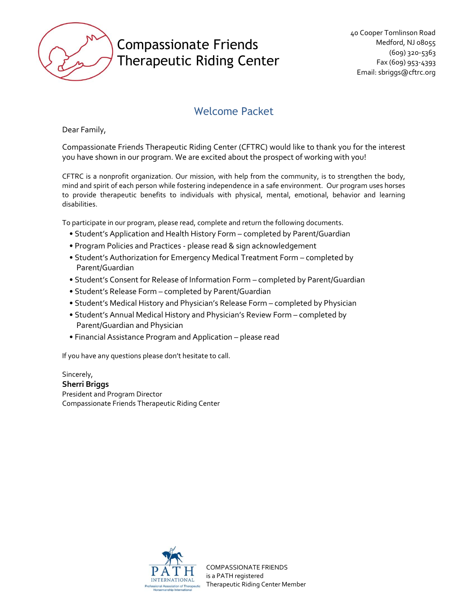

### Welcome Packet

Dear Family,

Compassionate Friends Therapeutic Riding Center (CFTRC) would like to thank you for the interest you have shown in our program. We are excited about the prospect of working with you!

CFTRC is a nonprofit organization. Our mission, with help from the community, is to strengthen the body, mind and spirit of each person while fostering independence in a safe environment. Our program uses horses to provide therapeutic benefits to individuals with physical, mental, emotional, behavior and learning disabilities.

To participate in our program, please read, complete and return the following documents.

- Student's Application and Health History Form completed by Parent/Guardian
- Program Policies and Practices please read & sign acknowledgement
- Student's Authorization for Emergency Medical Treatment Form completed by Parent/Guardian
- Student's Consent for Release of Information Form completed by Parent/Guardian
- Student's Release Form completed by Parent/Guardian
- Student's Medical History and Physician's Release Form completed by Physician
- Student's Annual Medical History and Physician's Review Form completed by Parent/Guardian and Physician
- Financial Assistance Program and Application please read

If you have any questions please don't hesitate to call.

Sincerely, **Sherri Briggs** President and Program Director Compassionate Friends Therapeutic Riding Center

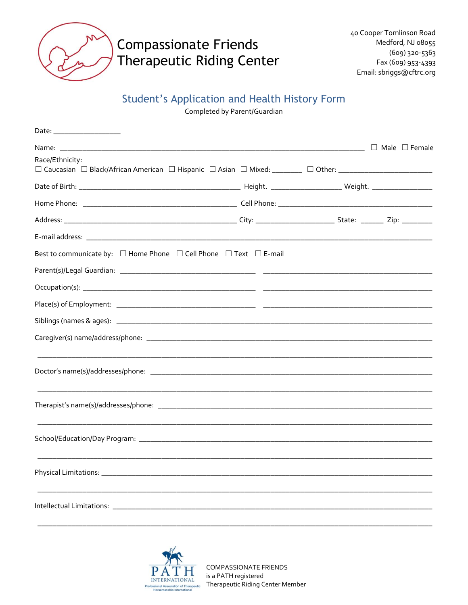

### **Student's Application and Health History Form**

Completed by Parent/Guardian

|                                                                   | <u> 1980 - Johann Barbara, martin a</u> | $\Box$ Male $\Box$ Female |
|-------------------------------------------------------------------|-----------------------------------------|---------------------------|
| Race/Ethnicity:                                                   |                                         |                           |
|                                                                   |                                         |                           |
|                                                                   |                                         |                           |
|                                                                   |                                         |                           |
|                                                                   |                                         |                           |
|                                                                   |                                         |                           |
| Best to communicate by: □ Home Phone □ Cell Phone □ Text □ E-mail |                                         |                           |
|                                                                   |                                         |                           |
|                                                                   |                                         |                           |
|                                                                   |                                         |                           |
|                                                                   |                                         |                           |
|                                                                   |                                         |                           |
|                                                                   |                                         |                           |
|                                                                   |                                         |                           |
|                                                                   |                                         |                           |
|                                                                   |                                         |                           |
|                                                                   |                                         |                           |
|                                                                   |                                         |                           |
|                                                                   |                                         |                           |
|                                                                   |                                         |                           |

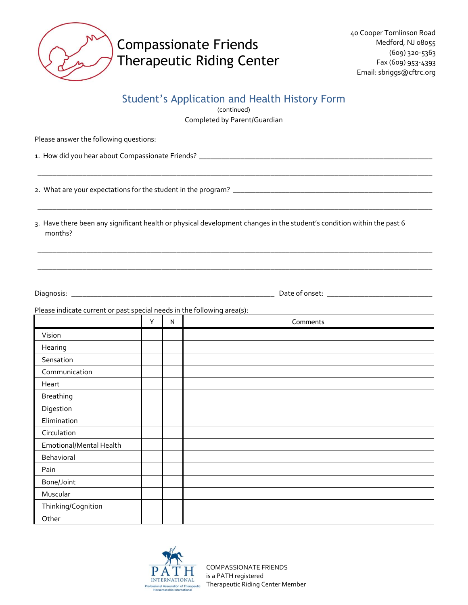

#### Student's Application and Health History Form

(continued) Completed by Parent/Guardian

\_\_\_\_\_\_\_\_\_\_\_\_\_\_\_\_\_\_\_\_\_\_\_\_\_\_\_\_\_\_\_\_\_\_\_\_\_\_\_\_\_\_\_\_\_\_\_\_\_\_\_\_\_\_\_\_\_\_\_\_\_\_\_\_\_\_\_\_\_\_\_\_\_\_\_\_\_\_\_\_\_\_\_\_\_\_\_\_\_\_\_\_\_\_\_\_\_\_\_\_\_\_\_\_\_

\_\_\_\_\_\_\_\_\_\_\_\_\_\_\_\_\_\_\_\_\_\_\_\_\_\_\_\_\_\_\_\_\_\_\_\_\_\_\_\_\_\_\_\_\_\_\_\_\_\_\_\_\_\_\_\_\_\_\_\_\_\_\_\_\_\_\_\_\_\_\_\_\_\_\_\_\_\_\_\_\_\_\_\_\_\_\_\_\_\_\_\_\_\_\_\_\_\_\_\_\_\_\_\_\_

\_\_\_\_\_\_\_\_\_\_\_\_\_\_\_\_\_\_\_\_\_\_\_\_\_\_\_\_\_\_\_\_\_\_\_\_\_\_\_\_\_\_\_\_\_\_\_\_\_\_\_\_\_\_\_\_\_\_\_\_\_\_\_\_\_\_\_\_\_\_\_\_\_\_\_\_\_\_\_\_\_\_\_\_\_\_\_\_\_\_\_\_\_\_\_\_\_\_\_\_\_\_\_\_\_

\_\_\_\_\_\_\_\_\_\_\_\_\_\_\_\_\_\_\_\_\_\_\_\_\_\_\_\_\_\_\_\_\_\_\_\_\_\_\_\_\_\_\_\_\_\_\_\_\_\_\_\_\_\_\_\_\_\_\_\_\_\_\_\_\_\_\_\_\_\_\_\_\_\_\_\_\_\_\_\_\_\_\_\_\_\_\_\_\_\_\_\_\_\_\_\_\_\_\_\_\_\_\_\_\_

Please answer the following questions:

1. How did you hear about Compassionate Friends? \_\_\_\_\_\_\_\_\_\_\_\_\_\_\_\_\_\_\_\_\_\_\_\_\_\_\_\_\_\_\_\_\_\_\_\_\_\_\_\_\_\_\_\_\_\_\_\_\_\_\_\_\_\_\_\_\_\_\_\_\_\_

2. What are your expectations for the student in the program? \_\_\_\_\_\_\_\_\_\_\_\_\_\_\_\_\_\_\_\_\_\_\_\_\_\_\_\_\_\_\_\_\_\_\_\_\_\_\_\_\_\_\_\_\_\_\_\_\_\_\_\_\_

3. Have there been any significant health or physical development changes in the student's condition within the past 6 months?

Diagnosis: \_\_\_\_\_\_\_\_\_\_\_\_\_\_\_\_\_\_\_\_\_\_\_\_\_\_\_\_\_\_\_\_\_\_\_\_\_\_\_\_\_\_\_\_\_\_\_\_\_\_\_\_\_\_ Date of onset: \_\_\_\_\_\_\_\_\_\_\_\_\_\_\_\_\_\_\_\_\_\_\_\_\_\_\_\_

Please indicate current or past special needs in the following area(s):

|                         | Υ | N | Comments |
|-------------------------|---|---|----------|
| Vision                  |   |   |          |
| Hearing                 |   |   |          |
| Sensation               |   |   |          |
| Communication           |   |   |          |
| Heart                   |   |   |          |
| <b>Breathing</b>        |   |   |          |
| Digestion               |   |   |          |
| Elimination             |   |   |          |
| Circulation             |   |   |          |
| Emotional/Mental Health |   |   |          |
| Behavioral              |   |   |          |
| Pain                    |   |   |          |
| Bone/Joint              |   |   |          |
| Muscular                |   |   |          |
| Thinking/Cognition      |   |   |          |
| Other                   |   |   |          |

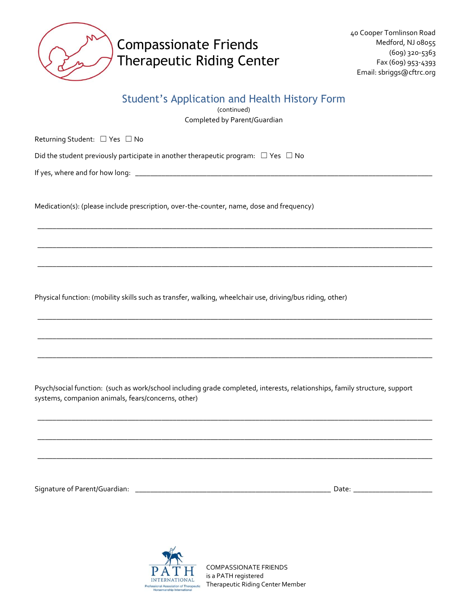

#### Student's Application and Health History Form

(continued) Completed by Parent/Guardian

\_\_\_\_\_\_\_\_\_\_\_\_\_\_\_\_\_\_\_\_\_\_\_\_\_\_\_\_\_\_\_\_\_\_\_\_\_\_\_\_\_\_\_\_\_\_\_\_\_\_\_\_\_\_\_\_\_\_\_\_\_\_\_\_\_\_\_\_\_\_\_\_\_\_\_\_\_\_\_\_\_\_\_\_\_\_\_\_\_\_\_\_\_\_\_\_\_\_\_\_\_\_\_\_\_

\_\_\_\_\_\_\_\_\_\_\_\_\_\_\_\_\_\_\_\_\_\_\_\_\_\_\_\_\_\_\_\_\_\_\_\_\_\_\_\_\_\_\_\_\_\_\_\_\_\_\_\_\_\_\_\_\_\_\_\_\_\_\_\_\_\_\_\_\_\_\_\_\_\_\_\_\_\_\_\_\_\_\_\_\_\_\_\_\_\_\_\_\_\_\_\_\_\_\_\_\_\_\_\_\_

\_\_\_\_\_\_\_\_\_\_\_\_\_\_\_\_\_\_\_\_\_\_\_\_\_\_\_\_\_\_\_\_\_\_\_\_\_\_\_\_\_\_\_\_\_\_\_\_\_\_\_\_\_\_\_\_\_\_\_\_\_\_\_\_\_\_\_\_\_\_\_\_\_\_\_\_\_\_\_\_\_\_\_\_\_\_\_\_\_\_\_\_\_\_\_\_\_\_\_\_\_\_\_\_\_

\_\_\_\_\_\_\_\_\_\_\_\_\_\_\_\_\_\_\_\_\_\_\_\_\_\_\_\_\_\_\_\_\_\_\_\_\_\_\_\_\_\_\_\_\_\_\_\_\_\_\_\_\_\_\_\_\_\_\_\_\_\_\_\_\_\_\_\_\_\_\_\_\_\_\_\_\_\_\_\_\_\_\_\_\_\_\_\_\_\_\_\_\_\_\_\_\_\_\_\_\_\_\_\_\_

\_\_\_\_\_\_\_\_\_\_\_\_\_\_\_\_\_\_\_\_\_\_\_\_\_\_\_\_\_\_\_\_\_\_\_\_\_\_\_\_\_\_\_\_\_\_\_\_\_\_\_\_\_\_\_\_\_\_\_\_\_\_\_\_\_\_\_\_\_\_\_\_\_\_\_\_\_\_\_\_\_\_\_\_\_\_\_\_\_\_\_\_\_\_\_\_\_\_\_\_\_\_\_\_\_

\_\_\_\_\_\_\_\_\_\_\_\_\_\_\_\_\_\_\_\_\_\_\_\_\_\_\_\_\_\_\_\_\_\_\_\_\_\_\_\_\_\_\_\_\_\_\_\_\_\_\_\_\_\_\_\_\_\_\_\_\_\_\_\_\_\_\_\_\_\_\_\_\_\_\_\_\_\_\_\_\_\_\_\_\_\_\_\_\_\_\_\_\_\_\_\_\_\_\_\_\_\_\_\_\_

\_\_\_\_\_\_\_\_\_\_\_\_\_\_\_\_\_\_\_\_\_\_\_\_\_\_\_\_\_\_\_\_\_\_\_\_\_\_\_\_\_\_\_\_\_\_\_\_\_\_\_\_\_\_\_\_\_\_\_\_\_\_\_\_\_\_\_\_\_\_\_\_\_\_\_\_\_\_\_\_\_\_\_\_\_\_\_\_\_\_\_\_\_\_\_\_\_\_\_\_\_\_\_\_\_

\_\_\_\_\_\_\_\_\_\_\_\_\_\_\_\_\_\_\_\_\_\_\_\_\_\_\_\_\_\_\_\_\_\_\_\_\_\_\_\_\_\_\_\_\_\_\_\_\_\_\_\_\_\_\_\_\_\_\_\_\_\_\_\_\_\_\_\_\_\_\_\_\_\_\_\_\_\_\_\_\_\_\_\_\_\_\_\_\_\_\_\_\_\_\_\_\_\_\_\_\_\_\_\_\_

\_\_\_\_\_\_\_\_\_\_\_\_\_\_\_\_\_\_\_\_\_\_\_\_\_\_\_\_\_\_\_\_\_\_\_\_\_\_\_\_\_\_\_\_\_\_\_\_\_\_\_\_\_\_\_\_\_\_\_\_\_\_\_\_\_\_\_\_\_\_\_\_\_\_\_\_\_\_\_\_\_\_\_\_\_\_\_\_\_\_\_\_\_\_\_\_\_\_\_\_\_\_\_\_\_

Returning Student: ☐ Yes ☐ No

Did the student previously participate in another therapeutic program:  $\Box$  Yes  $\Box$  No

If yes, where and for how long: \_\_\_\_\_\_\_\_\_\_\_\_\_\_\_\_\_\_\_\_\_\_\_\_\_\_\_\_\_\_\_\_\_\_\_\_\_\_\_\_\_\_\_\_\_\_\_\_\_\_\_\_\_\_\_\_\_\_\_\_\_\_\_\_\_\_\_\_\_\_\_\_\_\_\_\_\_\_\_

Medication(s): (please include prescription, over-the-counter, name, dose and frequency)

Physical function: (mobility skills such as transfer, walking, wheelchair use, driving/bus riding, other)

Psych/social function: (such as work/school including grade completed, interests, relationships, family structure, support systems, companion animals, fears/concerns, other)

Signature of Parent/Guardian: \_\_\_\_\_\_\_\_\_\_\_\_\_\_\_\_\_\_\_\_\_\_\_\_\_\_\_\_\_\_\_\_\_\_\_\_\_\_\_\_\_\_\_\_\_\_\_\_\_\_\_\_ Date: \_\_\_\_\_\_\_\_\_\_\_\_\_\_\_\_\_\_\_\_\_

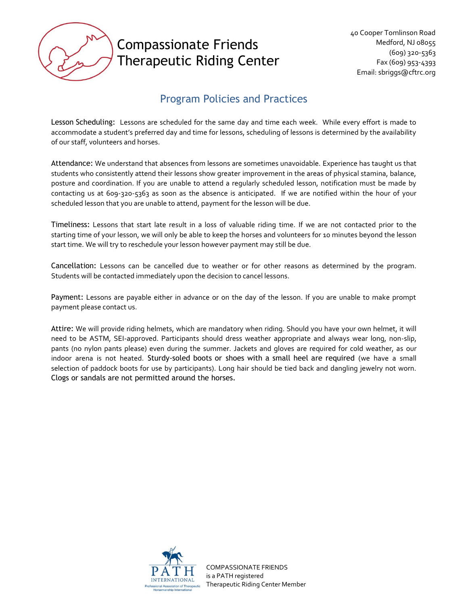

### Program Policies and Practices

Lesson Scheduling: Lessons are scheduled for the same day and time each week. While every effort is made to accommodate a student's preferred day and time for lessons, scheduling of lessons is determined by the availability of our staff, volunteers and horses.

Attendance: We understand that absences from lessons are sometimes unavoidable. Experience has taught us that students who consistently attend their lessons show greater improvement in the areas of physical stamina, balance, posture and coordination. If you are unable to attend a regularly scheduled lesson, notification must be made by contacting us at 609-320-5363 as soon as the absence is anticipated. If we are notified within the hour of your scheduled lesson that you are unable to attend, payment for the lesson will be due.

Timeliness: Lessons that start late result in a loss of valuable riding time. If we are not contacted prior to the starting time of your lesson, we will only be able to keep the horses and volunteers for 10 minutes beyond the lesson start time. We will try to reschedule your lesson however payment may still be due.

Cancellation: Lessons can be cancelled due to weather or for other reasons as determined by the program. Students will be contacted immediately upon the decision to cancel lessons.

Payment: Lessons are payable either in advance or on the day of the lesson. If you are unable to make prompt payment please contact us.

Attire: We will provide riding helmets, which are mandatory when riding. Should you have your own helmet, it will need to be ASTM, SEI-approved. Participants should dress weather appropriate and always wear long, non-slip, pants (no nylon pants please) even during the summer. Jackets and gloves are required for cold weather, as our indoor arena is not heated. Sturdy-soled boots or shoes with a small heel are required (we have a small selection of paddock boots for use by participants). Long hair should be tied back and dangling jewelry not worn. Clogs or sandals are not permitted around the horses.

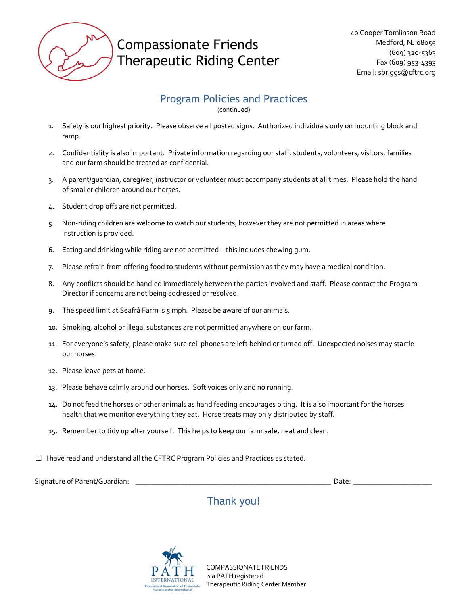

#### Program Policies and Practices

(continued)

- 1. Safety is our highest priority. Please observe all posted signs. Authorized individuals only on mounting block and ramp.
- 2. Confidentiality is also important. Private information regarding our staff, students, volunteers, visitors, families and our farm should be treated as confidential.
- 3. A parent/guardian, caregiver, instructor or volunteer must accompany students at all times. Please hold the hand of smaller children around our horses.
- 4. Student drop offs are not permitted.
- 5. Non-riding children are welcome to watch our students, however they are not permitted in areas where instruction is provided.
- 6. Eating and drinking while riding are not permitted this includes chewing gum.
- 7. Please refrain from offering food to students without permission as they may have a medical condition.
- 8. Any conflicts should be handled immediately between the parties involved and staff. Please contact the Program Director if concerns are not being addressed or resolved.
- 9. The speed limit at Seafrá Farm is 5 mph. Please be aware of our animals.
- 10. Smoking, alcohol or illegal substances are not permitted anywhere on our farm.
- 11. For everyone's safety, please make sure cell phones are left behind or turned off. Unexpected noises may startle our horses.
- 12. Please leave pets at home.
- 13. Please behave calmly around our horses. Soft voices only and no running.
- 14. Do not feed the horses or other animals as hand feeding encourages biting. It is also important for the horses' health that we monitor everything they eat. Horse treats may only distributed by staff.
- 15. Remember to tidy up after yourself. This helps to keep our farm safe, neat and clean.
- ☐ I have read and understand all the CFTRC Program Policies and Practices as stated.

Signature of Parent/Guardian: \_\_\_\_\_\_\_\_\_\_\_\_\_\_\_\_\_\_\_\_\_\_\_\_\_\_\_\_\_\_\_\_\_\_\_\_\_\_\_\_\_\_\_\_\_\_\_\_\_\_\_\_ Date: \_\_\_\_\_\_\_\_\_\_\_\_\_\_\_\_\_\_\_\_\_

### Thank you!

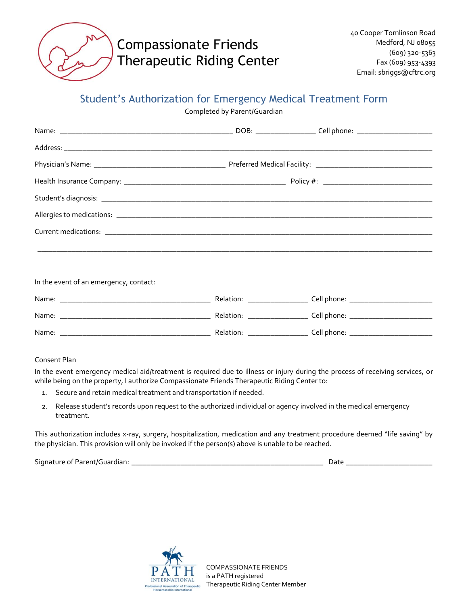

#### Student's Authorization for Emergency Medical Treatment Form

Completed by Parent/Guardian

In the event of an emergency, contact:

| Name: | Relation: | Cell phone: |
|-------|-----------|-------------|
| Name: | Relation: | Cell phone: |
| Name: | Relation: | Cell phone: |

#### Consent Plan

In the event emergency medical aid/treatment is required due to illness or injury during the process of receiving services, or while being on the property, I authorize Compassionate Friends Therapeutic Riding Center to:

- 1. Secure and retain medical treatment and transportation if needed.
- 2. Release student's records upon request to the authorized individual or agency involved in the medical emergency treatment.

This authorization includes x-ray, surgery, hospitalization, medication and any treatment procedure deemed "life saving" by the physician. This provision will only be invoked if the person(s) above is unable to be reached.

Signature of Parent/Guardian: \_\_\_\_\_\_\_\_\_\_\_\_\_\_\_\_\_\_\_\_\_\_\_\_\_\_\_\_\_\_\_\_\_\_\_\_\_\_\_\_\_\_\_\_\_\_\_\_\_\_\_ Date \_\_\_\_\_\_\_\_\_\_\_\_\_\_\_\_\_\_\_\_\_\_\_

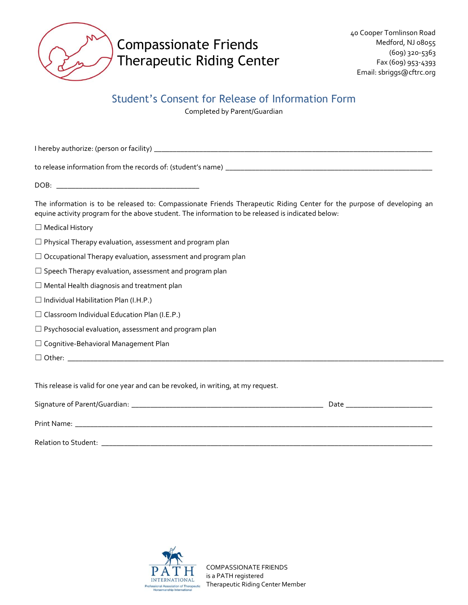

#### Student's Consent for Release of Information Form

Completed by Parent/Guardian

I hereby authorize: (person or facility) \_\_\_\_\_\_\_\_\_\_\_\_\_\_\_\_\_\_\_\_\_\_\_\_\_\_\_\_\_\_\_\_\_\_\_\_\_\_\_\_\_\_\_\_\_\_\_\_\_\_\_\_\_\_\_\_\_\_\_\_\_\_\_\_\_\_\_\_\_\_\_\_\_\_

to release information from the records of: (student's name) \_\_\_\_\_\_\_\_\_\_\_\_\_\_\_\_\_\_\_\_\_\_\_\_\_\_\_\_\_\_\_\_\_\_\_\_\_\_\_\_\_\_\_\_\_\_\_\_\_\_\_\_\_\_\_

DOB: \_\_\_\_\_\_\_\_\_\_\_\_\_\_\_\_\_\_\_\_\_\_\_\_\_\_\_\_\_\_\_\_\_\_\_\_\_\_

The information is to be released to: Compassionate Friends Therapeutic Riding Center for the purpose of developing an equine activity program for the above student. The information to be released is indicated below:

- ☐ Medical History
- $\Box$  Physical Therapy evaluation, assessment and program plan
- ☐ Occupational Therapy evaluation, assessment and program plan
- $\Box$  Speech Therapy evaluation, assessment and program plan
- ☐ Mental Health diagnosis and treatment plan
- $\Box$  Individual Habilitation Plan (I.H.P.)
- $\Box$  Classroom Individual Education Plan (I.E.P.)
- $\Box$  Psychosocial evaluation, assessment and program plan
- ☐ Cognitive-Behavioral Management Plan
- $\Box$  Other:

This release is valid for one year and can be revoked, in writing, at my request.

| Signature of Parent/Guardian: | Date |
|-------------------------------|------|
| Print Name:                   |      |
| Relation to Student:          |      |

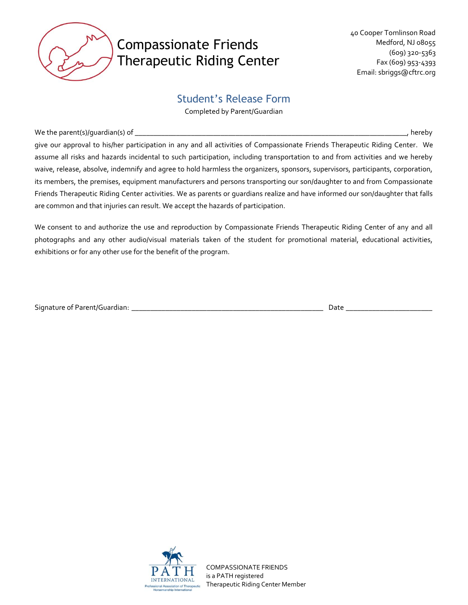

#### Student's Release Form

Completed by Parent/Guardian

We the parent(s)/guardian(s) of \_\_\_\_\_\_\_\_\_\_\_\_\_\_\_\_\_\_\_\_\_\_\_\_\_\_\_\_\_\_\_\_\_\_\_\_\_\_\_\_\_\_\_\_\_\_\_\_\_\_\_\_\_\_\_\_\_\_\_\_\_\_\_\_\_\_\_\_\_\_\_\_\_, hereby

give our approval to his/her participation in any and all activities of Compassionate Friends Therapeutic Riding Center. We assume all risks and hazards incidental to such participation, including transportation to and from activities and we hereby waive, release, absolve, indemnify and agree to hold harmless the organizers, sponsors, supervisors, participants, corporation, its members, the premises, equipment manufacturers and persons transporting our son/daughter to and from Compassionate Friends Therapeutic Riding Center activities. We as parents or guardians realize and have informed our son/daughter that falls are common and that injuries can result. We accept the hazards of participation.

We consent to and authorize the use and reproduction by Compassionate Friends Therapeutic Riding Center of any and all photographs and any other audio/visual materials taken of the student for promotional material, educational activities, exhibitions or for any other use for the benefit of the program.

Signature of Parent/Guardian: \_\_\_\_\_\_\_\_\_\_\_\_\_\_\_\_\_\_\_\_\_\_\_\_\_\_\_\_\_\_\_\_\_\_\_\_\_\_\_\_\_\_\_\_\_\_\_\_\_\_\_ Date \_\_\_\_\_\_\_\_\_\_\_\_\_\_\_\_\_\_\_\_\_\_\_

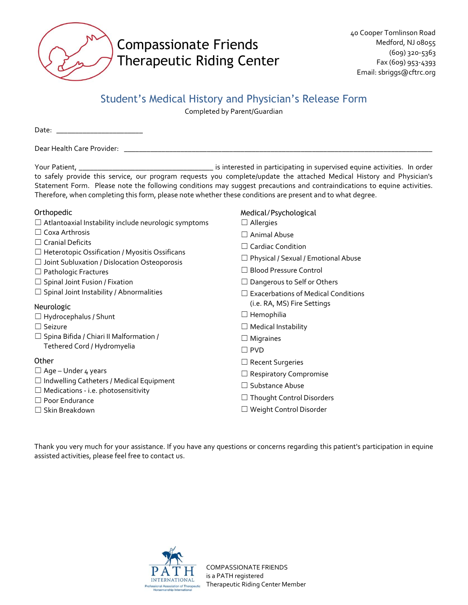

#### Student's Medical History and Physician's Release Form

Completed by Parent/Guardian

Date: \_\_\_\_\_\_\_\_\_\_\_\_\_\_\_\_\_\_\_\_\_\_\_

Dear Health Care Provider: \_\_\_\_\_\_\_\_\_\_\_\_\_\_\_\_\_\_\_\_\_\_\_\_\_\_\_\_\_\_\_\_\_\_\_\_\_\_\_\_\_\_\_\_\_\_\_\_\_\_\_\_\_\_\_\_\_\_\_\_\_\_\_\_\_\_\_\_\_\_\_\_\_\_\_\_\_\_\_\_\_\_

Your Patient, \_\_\_\_\_\_\_\_\_\_\_\_\_\_\_\_\_\_\_\_\_\_\_\_\_\_\_\_\_\_\_\_\_\_\_\_ is interested in participating in supervised equine activities. In order to safely provide this service, our program requests you complete/update the attached Medical History and Physician's Statement Form. Please note the following conditions may suggest precautions and contraindications to equine activities. Therefore, when completing this form, please note whether these conditions are present and to what degree.

#### Orthopedic

- ☐ Atlantoaxial Instability include neurologic symptoms
- ☐ Coxa Arthrosis
- ☐ Cranial Deficits
- ☐ Heterotopic Ossification / Myositis Ossificans
- ☐ Joint Subluxation / Dislocation Osteoporosis
- ☐ Pathologic Fractures
- $\Box$  Spinal Joint Fusion / Fixation
- $\Box$  Spinal Joint Instability / Abnormalities

#### Neurologic

- ☐ Hydrocephalus / Shunt
- ☐ Seizure
- $\Box$  Spina Bifida / Chiari II Malformation / Tethered Cord / Hydromyelia

#### **Other**

- $\Box$  Age Under 4 years
- $\Box$  Indwelling Catheters / Medical Equipment
- ☐ Medications i.e. photosensitivity
- ☐ Poor Endurance
- ☐ Skin Breakdown
- Medical/Psychological
- ☐ Allergies
- ☐ Animal Abuse
- □ Cardiac Condition
- ☐ Physical / Sexual / Emotional Abuse
- ☐ Blood Pressure Control
- □ Dangerous to Self or Others
- ☐ Exacerbations of Medical Conditions (i.e. RA, MS) Fire Settings
- ☐ Hemophilia
- ☐ Medical Instability
- □ Migraines
- ☐ PVD
- ☐ Recent Surgeries
- □ Respiratory Compromise
- □ Substance Abuse
- ☐ Thought Control Disorders
- ☐ Weight Control Disorder

Thank you very much for your assistance. If you have any questions or concerns regarding this patient's participation in equine assisted activities, please feel free to contact us.

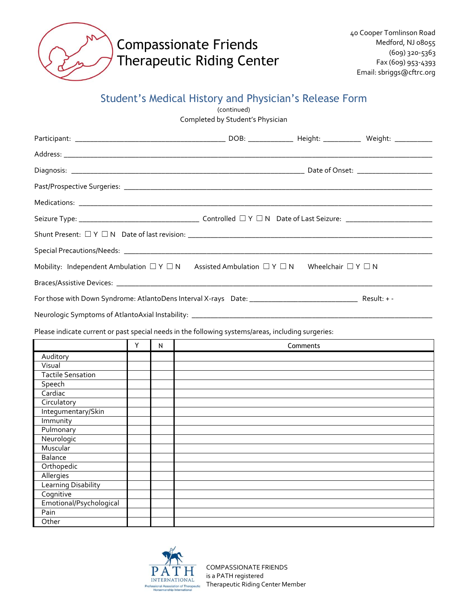

### Student's Medical History and Physician's Release Form

(continued)

Completed by Student's Physician

|                          |   |           | Mobility: Independent Ambulation $\Box Y \Box N$ Assisted Ambulation $\Box Y \Box N$ Wheelchair $\Box Y \Box N$ |          |  |
|--------------------------|---|-----------|-----------------------------------------------------------------------------------------------------------------|----------|--|
|                          |   |           |                                                                                                                 |          |  |
|                          |   |           |                                                                                                                 |          |  |
|                          |   |           | Neurologic Symptoms of AtlantoAxial Instability: _______________________________                                |          |  |
|                          |   |           | Please indicate current or past special needs in the following systems/areas, including surgeries:              |          |  |
|                          |   |           |                                                                                                                 |          |  |
|                          | Y | ${\sf N}$ |                                                                                                                 | Comments |  |
| Auditory                 |   |           |                                                                                                                 |          |  |
| Visual                   |   |           |                                                                                                                 |          |  |
| <b>Tactile Sensation</b> |   |           |                                                                                                                 |          |  |
| Speech                   |   |           |                                                                                                                 |          |  |
| Cardiac                  |   |           |                                                                                                                 |          |  |
| Circulatory              |   |           |                                                                                                                 |          |  |
| Integumentary/Skin       |   |           |                                                                                                                 |          |  |
| Immunity                 |   |           |                                                                                                                 |          |  |
| Pulmonary                |   |           |                                                                                                                 |          |  |
| Neurologic               |   |           |                                                                                                                 |          |  |
| Muscular                 |   |           |                                                                                                                 |          |  |
| <b>Balance</b>           |   |           |                                                                                                                 |          |  |
| Orthopedic               |   |           |                                                                                                                 |          |  |
| Allergies                |   |           |                                                                                                                 |          |  |
| Learning Disability      |   |           |                                                                                                                 |          |  |
| Cognitive                |   |           |                                                                                                                 |          |  |
| Emotional/Psychological  |   |           |                                                                                                                 |          |  |
| Pain                     |   |           |                                                                                                                 |          |  |
| Other                    |   |           |                                                                                                                 |          |  |

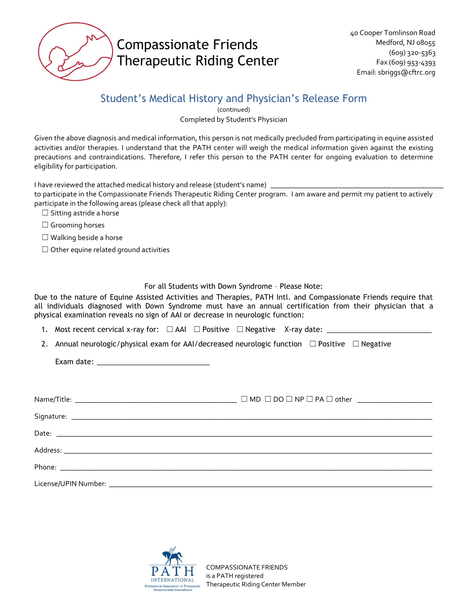

### Student's Medical History and Physician's Release Form

(continued) Completed by Student's Physician

Given the above diagnosis and medical information, this person is not medically precluded from participating in equine assisted activities and/or therapies. I understand that the PATH center will weigh the medical information given against the existing precautions and contraindications. Therefore, I refer this person to the PATH center for ongoing evaluation to determine eligibility for participation.

I have reviewed the attached medical history and release (student's name) \_

to participate in the Compassionate Friends Therapeutic Riding Center program. I am aware and permit my patient to actively participate in the following areas (please check all that apply):

☐ Sitting astride a horse

□ Grooming horses

 $\Box$  Walking beside a horse

 $\Box$  Other equine related ground activities

For all Students with Down Syndrome – Please Note:

Due to the nature of Equine Assisted Activities and Therapies, PATH Intl. and Compassionate Friends require that all individuals diagnosed with Down Syndrome must have an annual certification from their physician that a physical examination reveals no sign of AAI or decrease in neurologic function:

1. Most recent cervical x-ray for:  $\Box$  AAI  $\Box$  Positive  $\Box$  Negative X-ray date:  $\Box$ 

2. Annual neurologic/physical exam for AAI/decreased neurologic function  $\Box$  Positive  $\Box$  Negative

Exam date: \_\_\_\_\_\_\_\_\_\_\_\_\_\_\_\_\_\_\_\_\_\_\_\_\_\_\_\_

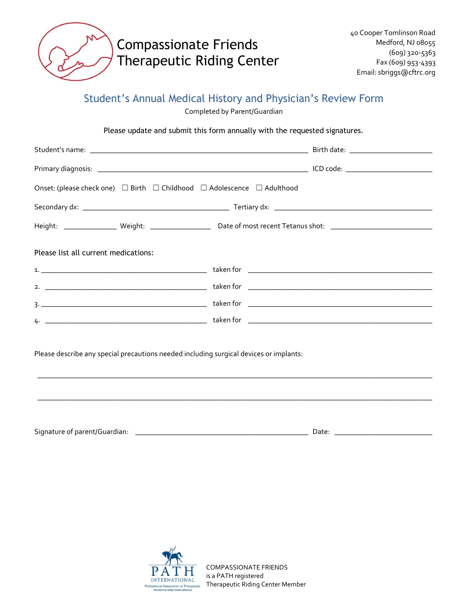

### Student's Annual Medical History and Physician's Review Form

Completed by Parent/Guardian

Please update and submit this form annually with the requested signatures.

| Onset: (please check one) $\Box$ Birth $\Box$ Childhood $\Box$ Adolescence $\Box$ Adulthood |
|---------------------------------------------------------------------------------------------|
|                                                                                             |
|                                                                                             |
|                                                                                             |
|                                                                                             |
|                                                                                             |
|                                                                                             |
|                                                                                             |
| Please describe any special precautions needed including surgical devices or implants:      |
|                                                                                             |

Signature of parent/Guardian: \_\_\_\_\_\_\_\_\_\_\_\_\_\_\_\_\_\_\_\_\_\_\_\_\_\_\_\_\_\_\_\_\_\_\_\_\_\_\_\_\_\_\_\_\_\_ Date: \_\_\_\_\_\_\_\_\_\_\_\_\_\_\_\_\_\_\_\_\_\_\_\_\_\_

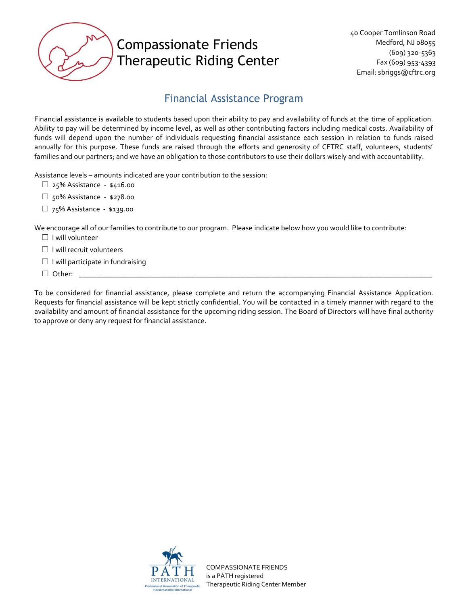

### Financial Assistance Program

Financial assistance is available to students based upon their ability to pay and availability of funds at the time of application. Ability to pay will be determined by income level, as well as other contributing factors including medical costs. Availability of funds will depend upon the number of individuals requesting financial assistance each session in relation to funds raised annually for this purpose. These funds are raised through the efforts and generosity of CFTRC staff, volunteers, students' families and our partners; and we have an obligation to those contributors to use their dollars wisely and with accountability.

Assistance levels – amounts indicated are your contribution to the session:

- ☐ 25% Assistance \$416.00
- ☐ 50% Assistance \$278.00
- □ 75% Assistance \$139.00

We encourage all of our families to contribute to our program. Please indicate below how you would like to contribute:

- ☐ I will volunteer
- ☐ I will recruit volunteers
- $\Box$  I will participate in fundraising
- ☐ Other: \_\_\_\_\_\_\_\_\_\_\_\_\_\_\_\_\_\_\_\_\_\_\_\_\_\_\_\_\_\_\_\_\_\_\_\_\_\_\_\_\_\_\_\_\_\_\_\_\_\_\_\_\_\_\_\_\_\_\_\_\_\_\_\_\_\_\_\_\_\_\_\_\_\_\_\_\_\_\_\_\_\_\_\_\_\_\_\_\_\_\_\_\_\_

To be considered for financial assistance, please complete and return the accompanying Financial Assistance Application. Requests for financial assistance will be kept strictly confidential. You will be contacted in a timely manner with regard to the availability and amount of financial assistance for the upcoming riding session. The Board of Directors will have final authority to approve or deny any request for financial assistance.